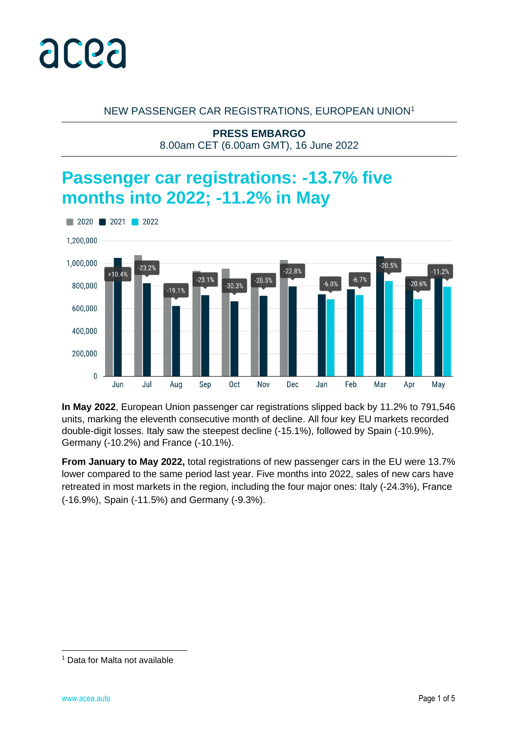

#### NEW PASSENGER CAR REGISTRATIONS, EUROPEAN UNION<sup>1</sup>

**PRESS EMBARGO** 8.00am CET (6.00am GMT), 16 June 2022

# **Passenger car registrations: -13.7% five months into 2022; -11.2% in May**



**In May 2022**, European Union passenger car registrations slipped back by 11.2% to 791,546 units, marking the eleventh consecutive month of decline. All four key EU markets recorded double-digit losses. Italy saw the steepest decline (-15.1%), followed by Spain (-10.9%), Germany (-10.2%) and France (-10.1%).

**From January to May 2022,** total registrations of new passenger cars in the EU were 13.7% lower compared to the same period last year. Five months into 2022, sales of new cars have retreated in most markets in the region, including the four major ones: Italy (-24.3%), France (-16.9%), Spain (-11.5%) and Germany (-9.3%).

<sup>1</sup> Data for Malta not available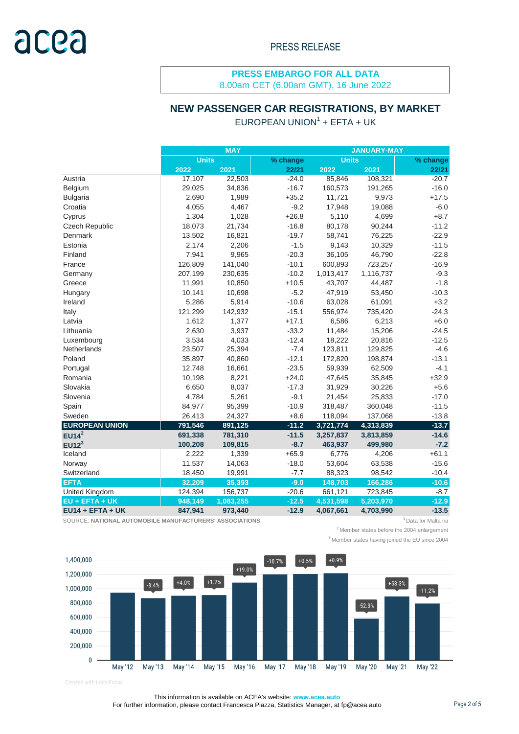8.00am CET (6.00am GMT), 16 June 2022

#### **NEW PASSENGER CAR REGISTRATIONS, BY MARKET**

|                       |              | <b>MAY</b> |          | <b>JANUARY-MAY</b> |           |          |  |  |
|-----------------------|--------------|------------|----------|--------------------|-----------|----------|--|--|
|                       | <b>Units</b> |            | % change | <b>Units</b>       |           | % change |  |  |
|                       | 2022         | 2021       | 22/21    | 2022               | 2021      | 22/21    |  |  |
| Austria               | 17,107       | 22,503     | $-24.0$  | 85,846             | 108,321   | $-20.7$  |  |  |
| Belgium               | 29,025       | 34,836     | $-16.7$  | 160,573            | 191,265   | $-16.0$  |  |  |
| <b>Bulgaria</b>       | 2,690        | 1,989      | $+35.2$  | 11,721             | 9,973     | $+17.5$  |  |  |
| Croatia               | 4,055        | 4,467      | $-9.2$   | 17,948             | 19,088    | $-6.0$   |  |  |
| Cyprus                | 1,304        | 1,028      | $+26.8$  | 5,110              | 4,699     | $+8.7$   |  |  |
| Czech Republic        | 18,073       | 21,734     | $-16.8$  | 80,178             | 90,244    | $-11.2$  |  |  |
| Denmark               | 13,502       | 16,821     | $-19.7$  | 58,741             | 76,225    | $-22.9$  |  |  |
| Estonia               | 2,174        | 2,206      | $-1.5$   | 9,143              | 10,329    | $-11.5$  |  |  |
| Finland               | 7,941        | 9,965      | $-20.3$  | 36,105             | 46,790    | $-22.8$  |  |  |
| France                | 126,809      | 141,040    | $-10.1$  | 600,893            | 723,257   | $-16.9$  |  |  |
| Germany               | 207,199      | 230,635    | $-10.2$  | 1,013,417          | 1,116,737 | $-9.3$   |  |  |
| Greece                | 11,991       | 10,850     | $+10.5$  | 43,707             | 44,487    | $-1.8$   |  |  |
| Hungary               | 10,141       | 10,698     | $-5.2$   | 47,919             | 53,450    | $-10.3$  |  |  |
| Ireland               | 5,286        | 5,914      | $-10.6$  | 63,028             | 61,091    | $+3.2$   |  |  |
| Italy                 | 121,299      | 142,932    | $-15.1$  | 556,974            | 735,420   | $-24.3$  |  |  |
| Latvia                | 1,612        | 1,377      | $+17.1$  | 6,586              | 6,213     | $+6.0$   |  |  |
| Lithuania             | 2,630        | 3,937      | $-33.2$  | 11,484             | 15,206    | $-24.5$  |  |  |
| Luxembourg            | 3,534        | 4,033      | $-12.4$  | 18,222             | 20,816    | $-12.5$  |  |  |
| Netherlands           | 23,507       | 25,394     | $-7.4$   | 123,811            | 129,825   | $-4.6$   |  |  |
| Poland                | 35,897       | 40,860     | $-12.1$  | 172,820            | 198,874   | $-13.1$  |  |  |
| Portugal              | 12,748       | 16,661     | $-23.5$  | 59,939             | 62,509    | $-4.1$   |  |  |
| Romania               | 10,198       | 8,221      | $+24.0$  | 47,645             | 35,845    | $+32.9$  |  |  |
| Slovakia              | 6,650        | 8,037      | $-17.3$  | 31,929             | 30,226    | $+5.6$   |  |  |
| Slovenia              | 4,784        | 5,261      | $-9.1$   | 21,454             | 25,833    | $-17.0$  |  |  |
| Spain                 | 84,977       | 95,399     | $-10.9$  | 318,487            | 360,048   | $-11.5$  |  |  |
| Sweden                | 26,413       | 24,327     | $+8.6$   | 118,094            | 137,068   | $-13.8$  |  |  |
| <b>EUROPEAN UNION</b> | 791,546      | 891,125    | $-11.2$  | 3,721,774          | 4,313,839 | $-13.7$  |  |  |
| EUI4 <sup>2</sup>     | 691,338      | 781,310    | $-11.5$  | 3,257,837          | 3,813,859 | $-14.6$  |  |  |
| EUI2 <sup>3</sup>     | 100,208      | 109,815    | $-8.7$   | 463,937            | 499,980   | $-7.2$   |  |  |
| Iceland               | 2,222        | 1,339      | $+65.9$  | 6,776              | 4,206     | $+61.1$  |  |  |
| Norway                | 11,537       | 14,063     | $-18.0$  | 53,604             | 63,538    | $-15.6$  |  |  |
| Switzerland           | 18,450       | 19,991     | $-7.7$   | 88,323             | 98,542    | $-10.4$  |  |  |
| <b>EFTA</b>           | 32,209       | 35,393     | $-9.0$   | 148,703            | 166,286   | $-10.6$  |  |  |
| <b>United Kingdom</b> | 124,394      | 156,737    | $-20.6$  | 661,121            | 723,845   | $-8.7$   |  |  |
| EU + EFTA + UK        | 948,149      | 1,083,255  | $-12.5$  | 4,531,598          | 5,203,970 | $-12.9$  |  |  |
| $EU14 + EFTA + UK$    | 847,941      | 973,440    | $-12.9$  | 4,067,661          | 4,703,990 | $-13.5$  |  |  |

 $EUROPEAN UNION<sup>1</sup> + EFTA + UK$ 

SOURCE: NATIONAL AUTOMOBILE MANUFACTURERS' ASSOCIATIONS **1** Data for Malta na

 $2$ Member states before the 2004 enlargement

<sup>3</sup> Member states having joined the EU since 2004



Created with LocalFocus

This information is available on ACEA's website: **www.acea.auto**  For further information, please contact Francesca Piazza, Statistics Manager, at fp@acea.auto Page 2 of 5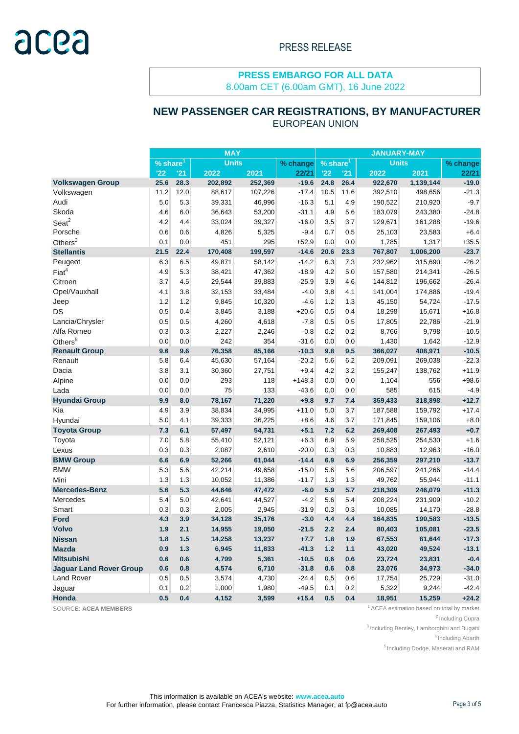8.00am CET (6.00am GMT), 16 June 2022

## **NEW PASSENGER CAR REGISTRATIONS, BY MANUFACTURER**

|                                | <b>MAY</b>  |       |              |         |          | <b>JANUARY-MAY</b>     |       |              |           |          |
|--------------------------------|-------------|-------|--------------|---------|----------|------------------------|-------|--------------|-----------|----------|
|                                | % share $1$ |       | <b>Units</b> |         | % change | $%$ share <sup>1</sup> |       | <b>Units</b> |           | % change |
|                                | '22         | '21   | 2022         | 2021    | 22/21    | '22                    | '21   | 2022         | 2021      | 22/21    |
| <b>Volkswagen Group</b>        | 25.6        | 28.3  | 202,892      | 252,369 | $-19.6$  | 24.8                   | 26.4  | 922,670      | 1,139,144 | $-19.0$  |
| Volkswagen                     | 11.2        | 12.0  | 88,617       | 107,226 | $-17.4$  | 10.5                   | 11.6  | 392,510      | 498,656   | $-21.3$  |
| Audi                           | 5.0         | 5.3   | 39,331       | 46,996  | $-16.3$  | 5.1                    | 4.9   | 190,522      | 210,920   | $-9.7$   |
| Skoda                          | 4.6         | 6.0   | 36,643       | 53,200  | $-31.1$  | 4.9                    | 5.6   | 183,079      | 243,380   | $-24.8$  |
| $S$ eat $2$                    | 4.2         | 4.4   | 33,024       | 39,327  | $-16.0$  | 3.5                    | 3.7   | 129,671      | 161,288   | $-19.6$  |
| Porsche                        | 0.6         | 0.6   | 4,826        | 5,325   | $-9.4$   | 0.7                    | 0.5   | 25,103       | 23,583    | $+6.4$   |
| Others $3$                     | 0.1         | 0.0   | 451          | 295     | $+52.9$  | 0.0                    | 0.0   | 1,785        | 1,317     | $+35.5$  |
| <b>Stellantis</b>              | 21.5        | 22.4  | 170,408      | 199,597 | $-14.6$  | 20.6                   | 23.3  | 767,807      | 1,006,200 | $-23.7$  |
| Peugeot                        | 6.3         | 6.5   | 49,871       | 58,142  | $-14.2$  | 6.3                    | 7.3   | 232,962      | 315,690   | $-26.2$  |
| Fiat <sup>4</sup>              | 4.9         | 5.3   | 38,421       | 47,362  | $-18.9$  | 4.2                    | 5.0   | 157,580      | 214,341   | $-26.5$  |
| Citroen                        | 3.7         | 4.5   | 29,544       | 39,883  | $-25.9$  | 3.9                    | 4.6   | 144,812      | 196,662   | $-26.4$  |
| Opel/Vauxhall                  | 4.1         | 3.8   | 32,153       | 33,484  | $-4.0$   | 3.8                    | 4.1   | 141,004      | 174,886   | $-19.4$  |
| Jeep                           | 1.2         | 1.2   | 9,845        | 10,320  | $-4.6$   | 1.2                    | 1.3   | 45,150       | 54,724    | $-17.5$  |
| DS                             | 0.5         | 0.4   | 3,845        | 3,188   | $+20.6$  | 0.5                    | 0.4   | 18,298       | 15,671    | $+16.8$  |
| Lancia/Chrysler                | 0.5         | 0.5   | 4,260        | 4,618   | $-7.8$   | 0.5                    | 0.5   | 17,805       | 22,786    | $-21.9$  |
| Alfa Romeo                     | 0.3         | 0.3   | 2,227        | 2,246   | $-0.8$   | 0.2                    | 0.2   | 8,766        | 9,798     | $-10.5$  |
| Others <sup>5</sup>            | 0.0         | 0.0   | 242          | 354     | $-31.6$  | 0.0                    | 0.0   | 1,430        | 1,642     | $-12.9$  |
| <b>Renault Group</b>           | 9.6         | 9.6   | 76,358       | 85,166  | $-10.3$  | 9.8                    | 9.5   | 366,027      | 408,971   | $-10.5$  |
| Renault                        | 5.8         | 6.4   | 45,630       | 57,164  | $-20.2$  | 5.6                    | 6.2   | 209,091      | 269,038   | $-22.3$  |
| Dacia                          | 3.8         | 3.1   | 30,360       | 27,751  | $+9.4$   | 4.2                    | 3.2   | 155,247      | 138,762   | $+11.9$  |
| Alpine                         | 0.0         | 0.0   | 293          | 118     | $+148.3$ | 0.0                    | 0.0   | 1,104        | 556       | $+98.6$  |
| Lada                           | 0.0         | 0.0   | 75           | 133     | $-43.6$  | 0.0                    | 0.0   | 585          | 615       | $-4.9$   |
| <b>Hyundai Group</b>           | 9.9         | 8.0   | 78,167       | 71,220  | $+9.8$   | 9.7                    | 7.4   | 359,433      | 318,898   | $+12.7$  |
| Kia                            | 4.9         | 3.9   | 38,834       | 34,995  | $+11.0$  | 5.0                    | 3.7   | 187,588      | 159,792   | $+17.4$  |
| Hyundai                        | $5.0\,$     | 4.1   | 39,333       | 36,225  | $+8.6$   | 4.6                    | 3.7   | 171,845      | 159,106   | $+8.0$   |
| <b>Toyota Group</b>            | 7.3         | 6.1   | 57,497       | 54,731  | $+5.1$   | 7.2                    | 6.2   | 269,408      | 267,493   | $+0.7$   |
| Toyota                         | 7.0         | 5.8   | 55,410       | 52,121  | $+6.3$   | 6.9                    | 5.9   | 258,525      | 254,530   | $+1.6$   |
| Lexus                          | 0.3         | 0.3   | 2,087        | 2,610   | $-20.0$  | 0.3                    | 0.3   | 10,883       | 12,963    | $-16.0$  |
| <b>BMW Group</b>               | 6.6         | 6.9   | 52,266       | 61,044  | $-14.4$  | 6.9                    | 6.9   | 256,359      | 297,210   | $-13.7$  |
| <b>BMW</b>                     | 5.3         | 5.6   | 42,214       | 49,658  | $-15.0$  | 5.6                    | 5.6   | 206,597      | 241,266   | $-14.4$  |
| Mini                           | 1.3         | 1.3   | 10,052       | 11,386  | $-11.7$  | 1.3                    | 1.3   | 49,762       | 55,944    | $-11.1$  |
| <b>Mercedes-Benz</b>           | 5.6         | 5.3   | 44,646       | 47,472  | $-6.0$   | 5.9                    | 5.7   | 218,309      | 246,079   | $-11.3$  |
| Mercedes                       | 5.4         | 5.0   | 42,641       | 44,527  | $-4.2$   | 5.6                    | 5.4   | 208,224      | 231,909   | $-10.2$  |
| Smart                          | 0.3         | 0.3   | 2,005        | 2,945   | $-31.9$  | 0.3                    | 0.3   | 10,085       | 14,170    | $-28.8$  |
| <b>Ford</b>                    | 4.3         | 3.9   | 34,128       | 35,176  | $-3.0$   | 4.4                    | 4.4   | 164,835      | 190,583   | $-13.5$  |
| <b>Volvo</b>                   | 1.9         | 2.1   | 14,955       | 19,050  | $-21.5$  | 2.2                    | 2.4   | 80,403       | 105,081   | $-23.5$  |
| <b>Nissan</b>                  | 1.8         | $1.5$ | 14,258       | 13,237  | $+7.7$   | 1.8                    | 1.9   | 67,553       | 81,644    | $-17.3$  |
| <b>Mazda</b>                   | 0.9         | 1.3   | 6,945        | 11,833  | $-41.3$  | $1.2$                  | $1.1$ | 43,020       | 49,524    | $-13.1$  |
| <b>Mitsubishi</b>              | 0.6         | 0.6   | 4,799        | 5,361   | $-10.5$  | 0.6                    | 0.6   | 23,724       | 23,831    | $-0.4$   |
| <b>Jaguar Land Rover Group</b> | 0.6         | 0.8   | 4,574        | 6,710   | $-31.8$  | 0.6                    | 0.8   | 23,076       | 34,973    | $-34.0$  |
| Land Rover                     | 0.5         | 0.5   | 3,574        | 4,730   | $-24.4$  | 0.5                    | 0.6   | 17,754       | 25,729    | $-31.0$  |
| Jaguar                         | 0.1         | 0.2   | 1,000        | 1,980   | $-49.5$  | 0.1                    | 0.2   | 5,322        | 9,244     | $-42.4$  |
| Honda                          | 0.5         | 0.4   | 4,152        | 3,599   | $+15.4$  | 0.5                    | 0.4   | 18,951       | 15,259    | $+24.2$  |

EUROPEAN UNION

SOURCE: ACEA MEMBERS **1** ACEA estimation based on total by market

<sup>2</sup> Including Cupra

<sup>3</sup> Including Bentley, Lamborghini and Bugatti

<sup>4</sup> Including Abarth

<sup>5</sup> Including Dodge, Maserati and RAM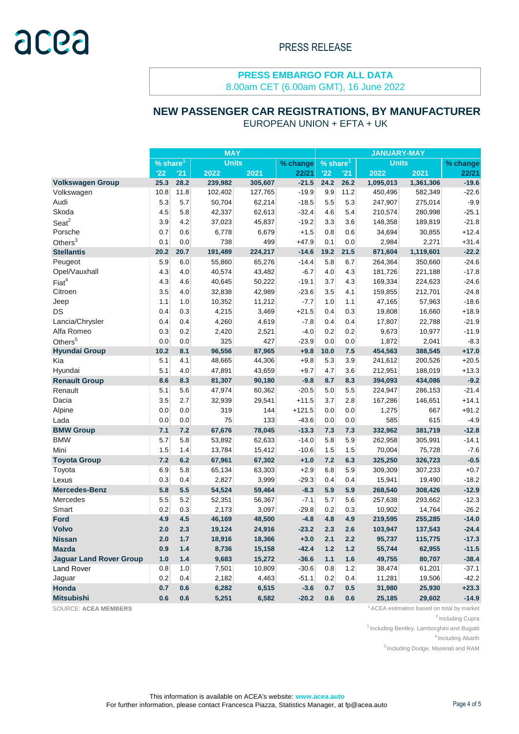8.00am CET (6.00am GMT), 16 June 2022

# **NEW PASSENGER CAR REGISTRATIONS, BY MANUFACTURER**

EUROPEAN UNION + EFTA + UK

|                                | <b>MAY</b>                                    |       |           |          |                                             | <b>JANUARY-MAY</b> |              |           |           |         |
|--------------------------------|-----------------------------------------------|-------|-----------|----------|---------------------------------------------|--------------------|--------------|-----------|-----------|---------|
|                                | <b>Units</b><br>$\sqrt{9}$ share <sup>1</sup> |       |           | % change | $\overline{\frac{9}{6}}$ share <sup>1</sup> |                    | <b>Units</b> |           | % change  |         |
|                                | '22                                           | '21   | 2022      | 2021     | 22/21                                       | '22                | '21          | 2022      | 2021      | 22/21   |
| <b>Volkswagen Group</b>        | 25.3                                          | 28.2  | 239,982   | 305,607  | $-21.5$                                     | 24.2               | 26.2         | 1,095,013 | 1,361,306 | $-19.6$ |
| Volkswagen                     | 10.8                                          | 11.8  | 102,402   | 127,765  | $-19.9$                                     | 9.9                | 11.2         | 450,496   | 582,349   | $-22.6$ |
| Audi                           | 5.3                                           | 5.7   | 50,704    | 62,214   | $-18.5$                                     | 5.5                | 5.3          | 247,907   | 275,014   | $-9.9$  |
| Skoda                          | 4.5                                           | 5.8   | 42,337    | 62,613   | $-32.4$                                     | 4.6                | 5.4          | 210,574   | 280,998   | $-25.1$ |
| Sear <sup>2</sup>              | 3.9                                           | 4.2   | 37,023    | 45,837   | $-19.2$                                     | 3.3                | 3.6          | 148,358   | 189,819   | $-21.8$ |
| Porsche                        | 0.7                                           | 0.6   | 6,778     | 6,679    | $+1.5$                                      | 0.8                | 0.6          | 34,694    | 30,855    | $+12.4$ |
| Others $3$                     | 0.1                                           | 0.0   | 738       | 499      | $+47.9$                                     | 0.1                | 0.0          | 2,984     | 2,271     | $+31.4$ |
| <b>Stellantis</b>              | 20.2                                          | 20.7  | 191,489   | 224,217  | $-14.6$                                     | 19.2               | 21.5         | 871,604   | 1,119,601 | $-22.2$ |
| Peugeot                        | 5.9                                           | 6.0   | 55,860    | 65,276   | $-14.4$                                     | 5.8                | 6.7          | 264,364   | 350,660   | $-24.6$ |
| Opel/Vauxhall                  | 4.3                                           | 4.0   | 40,574    | 43,482   | $-6.7$                                      | 4.0                | 4.3          | 181,726   | 221,188   | $-17.8$ |
| Fiat <sup>4</sup>              | 4.3                                           | 4.6   | 40,645    | 50,222   | $-19.1$                                     | 3.7                | 4.3          | 169,334   | 224,623   | $-24.6$ |
| Citroen                        | 3.5                                           | 4.0   | 32,838    | 42,989   | $-23.6$                                     | 3.5                | 4.1          | 159,855   | 212,701   | $-24.8$ |
| Jeep                           | 1.1                                           | 1.0   | 10,352    | 11,212   | $-7.7$                                      | 1.0                | 1.1          | 47,165    | 57,963    | $-18.6$ |
| DS                             | 0.4                                           | 0.3   | 4,215     | 3,469    | $+21.5$                                     | 0.4                | 0.3          | 19,808    | 16,660    | $+18.9$ |
| Lancia/Chrysler                | 0.4                                           | 0.4   | 4,260     | 4,619    | $-7.8$                                      | 0.4                | 0.4          | 17,807    | 22,788    | $-21.9$ |
| Alfa Romeo                     | 0.3                                           | 0.2   | 2,420     | 2,521    | $-4.0$                                      | 0.2                | 0.2          | 9,673     | 10,977    | $-11.9$ |
| Others <sup>5</sup>            | 0.0                                           | 0.0   | 325       | 427      | $-23.9$                                     | 0.0                | 0.0          | 1,872     | 2,041     | $-8.3$  |
| <b>Hyundai Group</b>           | 10.2                                          | 8.1   | 96,556    | 87,965   | $+9.8$                                      | 10.0               | 7.5          | 454,563   | 388,545   | $+17.0$ |
| Kia                            | 5.1                                           | 4.1   | 48,665    | 44,306   | $+9.8$                                      | 5.3                | 3.9          | 241,612   | 200,526   | $+20.5$ |
| Hyundai                        | 5.1                                           | 4.0   | 47,891    | 43,659   | $+9.7$                                      | 4.7                | 3.6          | 212,951   | 188,019   | $+13.3$ |
| <b>Renault Group</b>           | 8.6                                           | 8.3   | 81,307    | 90,180   | $-9.8$                                      | 8.7                | 8.3          | 394,093   | 434,086   | $-9.2$  |
| Renault                        | 5.1                                           | 5.6   | 47,974    | 60,362   | $-20.5$                                     | 5.0                | 5.5          | 224,947   | 286,153   | $-21.4$ |
| Dacia                          | 3.5                                           | 2.7   |           |          | $+11.5$                                     |                    |              |           |           |         |
|                                |                                               |       | 32,939    | 29,541   |                                             | 3.7                | 2.8          | 167,286   | 146,651   | $+14.1$ |
| Alpine                         | 0.0                                           | 0.0   | 319<br>75 | 144      | $+121.5$<br>$-43.6$                         | 0.0                | 0.0          | 1,275     | 667       | $+91.2$ |
| Lada                           | 0.0                                           | 0.0   |           | 133      |                                             | 0.0                | 0.0          | 585       | 615       | $-4.9$  |
| <b>BMW Group</b>               | 7.1                                           | 7.2   | 67,676    | 78,045   | $-13.3$                                     | 7.3                | 7.3          | 332,962   | 381,719   | $-12.8$ |
| <b>BMW</b>                     | 5.7                                           | 5.8   | 53,892    | 62,633   | $-14.0$                                     | 5.8                | 5.9          | 262,958   | 305,991   | $-14.1$ |
| Mini                           | 1.5                                           | 1.4   | 13,784    | 15,412   | $-10.6$                                     | 1.5                | 1.5          | 70,004    | 75,728    | $-7.6$  |
| <b>Toyota Group</b>            | 7.2                                           | 6.2   | 67,961    | 67,302   | $+1.0$                                      | 7.2                | 6.3          | 325,250   | 326,723   | $-0.5$  |
| Toyota                         | 6.9                                           | 5.8   | 65,134    | 63,303   | $+2.9$                                      | 6.8                | 5.9          | 309,309   | 307,233   | $+0.7$  |
| Lexus                          | 0.3                                           | 0.4   | 2,827     | 3,999    | $-29.3$                                     | 0.4                | 0.4          | 15,941    | 19,490    | $-18.2$ |
| <b>Mercedes-Benz</b>           | 5.8                                           | 5.5   | 54,524    | 59,464   | $-8.3$                                      | 5.9                | 5.9          | 268,540   | 308,426   | $-12.9$ |
| Mercedes                       | 5.5                                           | 5.2   | 52,351    | 56,367   | $-7.1$                                      | 5.7                | 5.6          | 257,638   | 293,662   | $-12.3$ |
| Smart                          | 0.2                                           | 0.3   | 2,173     | 3,097    | $-29.8$                                     | 0.2                | 0.3          | 10,902    | 14,764    | $-26.2$ |
| <b>Ford</b>                    | 4.9                                           | 4.5   | 46,169    | 48,500   | $-4.8$                                      | 4.8                | 4.9          | 219,595   | 255,285   | $-14.0$ |
| <b>Volvo</b>                   | 2.0                                           | 2.3   | 19,124    | 24,916   | $-23.2$                                     | 2.3                | 2.6          | 103,947   | 137,543   | $-24.4$ |
| <b>Nissan</b>                  | 2.0                                           | 1.7   | 18,916    | 18,366   | $+3.0$                                      | 2.1                | 2.2          | 95,737    | 115,775   | -17.3   |
| <b>Mazda</b>                   | 0.9                                           | $1.4$ | 8,736     | 15,158   | $-42.4$                                     | $1.2$              | $1.2$        | 55,744    | 62,955    | $-11.5$ |
| <b>Jaguar Land Rover Group</b> | 1.0                                           | 1.4   | 9,683     | 15,272   | $-36.6$                                     | $1.1$              | 1.6          | 49,755    | 80,707    | $-38.4$ |
| <b>Land Rover</b>              | 0.8                                           | 1.0   | 7,501     | 10,809   | $-30.6$                                     | 0.8                | $1.2$        | 38,474    | 61,201    | $-37.1$ |
| Jaguar                         | 0.2                                           | 0.4   | 2,182     | 4,463    | $-51.1$                                     | 0.2                | 0.4          | 11,281    | 19,506    | $-42.2$ |
| Honda                          | 0.7                                           | 0.6   | 6,282     | 6,515    | $-3.6$                                      | 0.7                | 0.5          | 31,980    | 25,930    | $+23.3$ |
| <b>Mitsubishi</b>              | 0.6                                           | 0.6   | 5,251     | 6,582    | $-20.2$                                     | 0.6                | 0.6          | 25,185    | 29,602    | $-14.9$ |

SOURCE: ACEA MEMBERS **1** ACEA estimation based on total by market

<sup>2</sup> Including Cupra

 $3$  Including Bentley, Lamborghini and Bugatti

<sup>4</sup> Including Abarth

<sup>5</sup> Including Dodge, Maserati and RAM